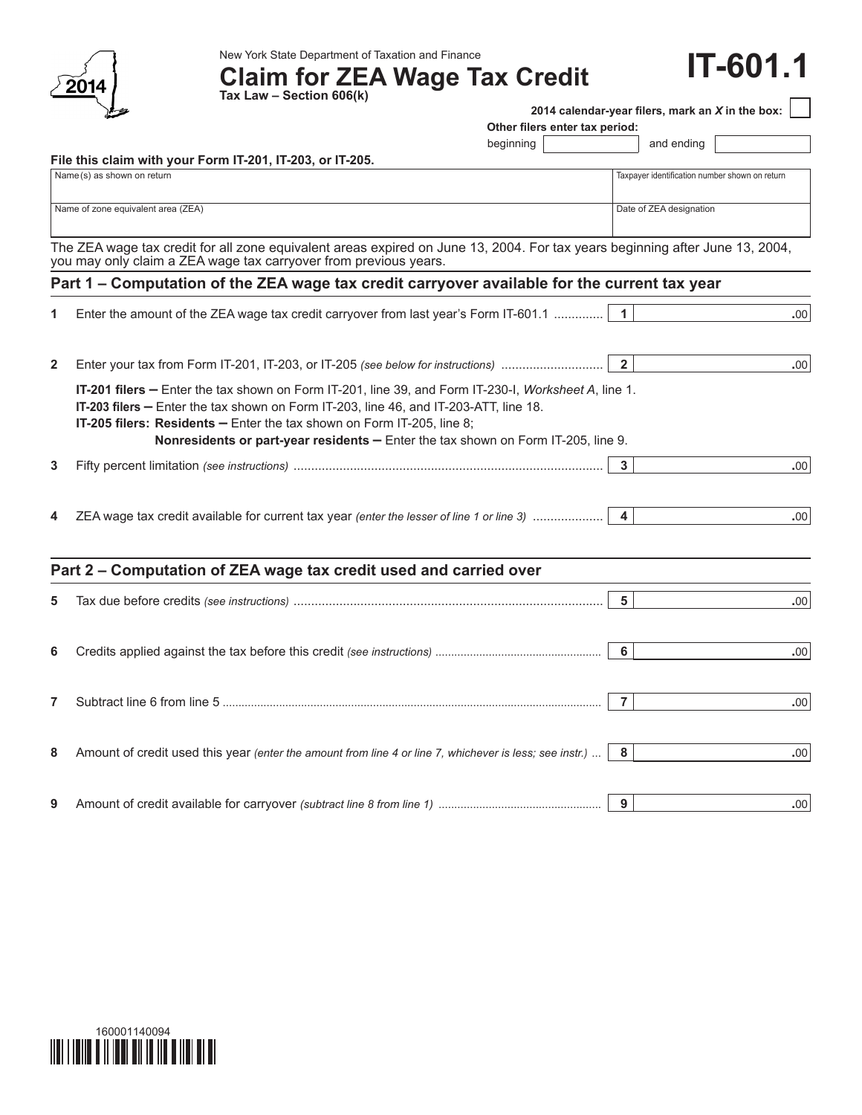

New York State Department of Taxation and Finance

**Claim for ZEA Wage Tax Credit Tax Law – Section 606(k)**

## **IT-601.1**

|              | Tax Law – Section bub(K)                                                                                                     |                                |                |                                                  |                  |
|--------------|------------------------------------------------------------------------------------------------------------------------------|--------------------------------|----------------|--------------------------------------------------|------------------|
|              |                                                                                                                              |                                |                | 2014 calendar-year filers, mark an X in the box: |                  |
|              |                                                                                                                              | Other filers enter tax period: |                |                                                  |                  |
|              |                                                                                                                              | beginning                      |                | and ending                                       |                  |
|              | File this claim with your Form IT-201, IT-203, or IT-205.<br>Name (s) as shown on return                                     |                                |                | Taxpayer identification number shown on return   |                  |
|              |                                                                                                                              |                                |                |                                                  |                  |
|              | Name of zone equivalent area (ZEA)                                                                                           |                                |                | Date of ZEA designation                          |                  |
|              |                                                                                                                              |                                |                |                                                  |                  |
|              | The ZEA wage tax credit for all zone equivalent areas expired on June 13, 2004. For tax years beginning after June 13, 2004, |                                |                |                                                  |                  |
|              | you may only claim a ZEA wage tax carryover from previous years.                                                             |                                |                |                                                  |                  |
|              | Part 1 – Computation of the ZEA wage tax credit carryover available for the current tax year                                 |                                |                |                                                  |                  |
|              |                                                                                                                              |                                |                |                                                  |                  |
|              | Enter the amount of the ZEA wage tax credit carryover from last year's Form IT-601.1                                         |                                | $\mathbf{1}$   |                                                  | .00 <sub>1</sub> |
|              |                                                                                                                              |                                |                |                                                  |                  |
|              |                                                                                                                              |                                |                |                                                  |                  |
| $\mathbf{2}$ | Enter your tax from Form IT-201, IT-203, or IT-205 (see below for instructions)                                              |                                | $\overline{2}$ |                                                  | .00              |
|              | IT-201 filers - Enter the tax shown on Form IT-201, line 39, and Form IT-230-I, Worksheet A, line 1.                         |                                |                |                                                  |                  |
|              | IT-203 filers - Enter the tax shown on Form IT-203, line 46, and IT-203-ATT, line 18.                                        |                                |                |                                                  |                  |
|              | IT-205 filers: Residents - Enter the tax shown on Form IT-205, line 8;                                                       |                                |                |                                                  |                  |
|              | Nonresidents or part-year residents - Enter the tax shown on Form IT-205, line 9.                                            |                                |                |                                                  |                  |
| 3            |                                                                                                                              |                                | 3              |                                                  | .00              |
|              |                                                                                                                              |                                |                |                                                  |                  |
|              |                                                                                                                              |                                |                |                                                  |                  |
| 4            | ZEA wage tax credit available for current tax year (enter the lesser of line 1 or line 3)                                    |                                | 4              |                                                  | .00              |
|              |                                                                                                                              |                                |                |                                                  |                  |
|              |                                                                                                                              |                                |                |                                                  |                  |
|              | Part 2 - Computation of ZEA wage tax credit used and carried over                                                            |                                |                |                                                  |                  |
| 5            |                                                                                                                              |                                | $5\phantom{a}$ |                                                  | .00              |
|              |                                                                                                                              |                                |                |                                                  |                  |
|              |                                                                                                                              |                                |                |                                                  |                  |
| 6            |                                                                                                                              |                                | 6              |                                                  | .00              |
|              |                                                                                                                              |                                |                |                                                  |                  |
|              |                                                                                                                              |                                |                |                                                  |                  |
| 7            |                                                                                                                              |                                | $\overline{7}$ |                                                  | .00              |
|              |                                                                                                                              |                                |                |                                                  |                  |
|              |                                                                                                                              |                                |                |                                                  |                  |
| 8            | Amount of credit used this year (enter the amount from line 4 or line 7, whichever is less; see instr.)                      |                                | 8              |                                                  | .00 <sub>1</sub> |
|              |                                                                                                                              |                                |                |                                                  |                  |
| 9            |                                                                                                                              |                                | 9              |                                                  | .00.             |
|              |                                                                                                                              |                                |                |                                                  |                  |